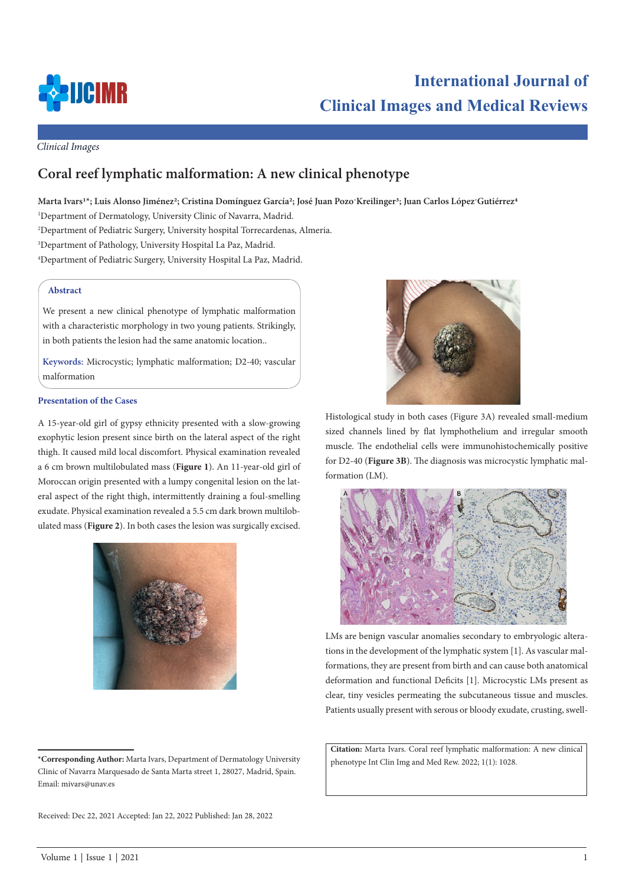

# **International Journal of Clinical Images and Medical Reviews**

*Clinical Images*

# **Coral reef lymphatic malformation: A new clinical phenotype**

Marta Ivars<sup>1\*</sup>; Luis Alonso Jiménez<sup>2</sup>; Cristina Domínguez García<sup>2</sup>; José Juan Pozo<sup>-</sup>Kreilinger<sup>3</sup>; Juan Carlos López<sup>-</sup>Gutiérrez<sup>4</sup>

 Department of Dermatology, University Clinic of Navarra, Madrid. Department of Pediatric Surgery, University hospital Torrecardenas, Almeria. Department of Pathology, University Hospital La Paz, Madrid. Department of Pediatric Surgery, University Hospital La Paz, Madrid.

### **Abstract**

We present a new clinical phenotype of lymphatic malformation with a characteristic morphology in two young patients. Strikingly, in both patients the lesion had the same anatomic location..

**Keywords:** Microcystic; lymphatic malformation; D2-40; vascular malformation

#### **Presentation of the Cases**

A 15-year-old girl of gypsy ethnicity presented with a slow-growing exophytic lesion present since birth on the lateral aspect of the right thigh. It caused mild local discomfort. Physical examination revealed a 6 cm brown multilobulated mass (**Figure 1**). An 11-year-old girl of Moroccan origin presented with a lumpy congenital lesion on the lateral aspect of the right thigh, intermittently draining a foul-smelling exudate. Physical examination revealed a 5.5 cm dark brown multilobulated mass (**Figure 2**). In both cases the lesion was surgically excised.





Histological study in both cases (Figure 3A) revealed small-medium sized channels lined by flat lymphothelium and irregular smooth muscle. The endothelial cells were immunohistochemically positive for D2-40 (**Figure 3B**). The diagnosis was microcystic lymphatic malformation (LM).



LMs are benign vascular anomalies secondary to embryologic alterations in the development of the lymphatic system [1]. As vascular malformations, they are present from birth and can cause both anatomical deformation and functional Deficits [1]. Microcystic LMs present as clear, tiny vesicles permeating the subcutaneous tissue and muscles. Patients usually present with serous or bloody exudate, crusting, swell-

**Citation:** Marta Ivars. Coral reef lymphatic malformation: A new clinical

phenotype Int Clin Img and Med Rew. 2022; 1(1): 1028. **\*Corresponding Author:** Marta Ivars, Department of Dermatology University Clinic of Navarra Marquesado de Santa Marta street 1, 28027, Madrid, Spain. Email: mivars@unav.es